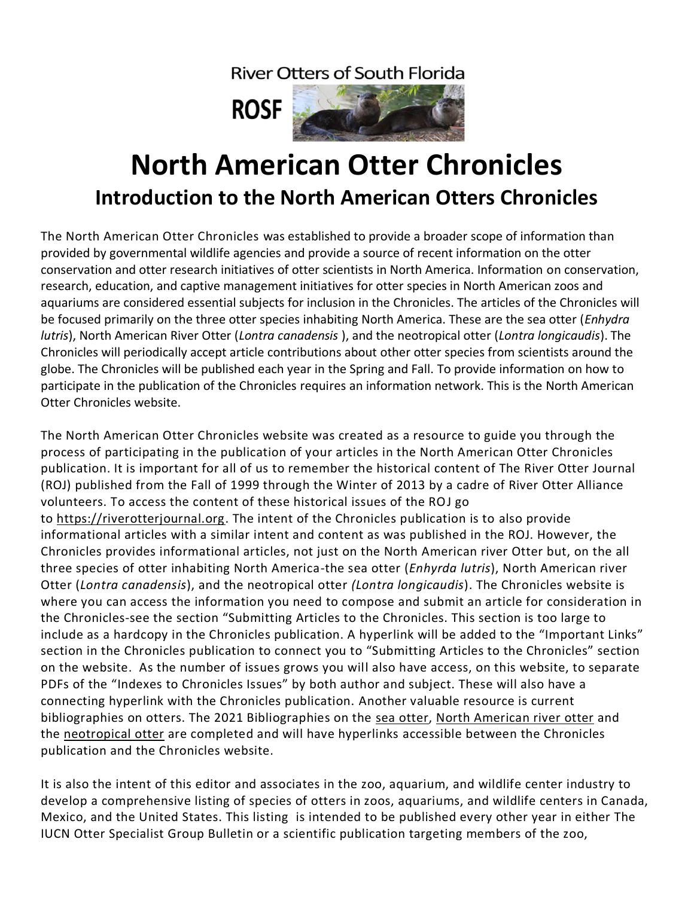**River Otters of South Florida** 



## **North American Otter Chronicles Introduction to the North American Otters Chronicles**

The North American Otter Chronicles was established to provide a broader scope of information than provided by governmental wildlife agencies and provide a source of recent information on the otter conservation and otter research initiatives of otter scientists in North America. Information on conservation, research, education, and captive management initiatives for otter species in North American zoos and aquariums are considered essential subjects for inclusion in the Chronicles. The articles of the Chronicles will be focused primarily on the three otter species inhabiting North America. These are the sea otter (*Enhydra lutris*), North American River Otter (*Lontra canadensis* ), and the neotropical otter (*Lontra longicaudis*). The Chronicles will periodically accept article contributions about other otter species from scientists around the globe. The Chronicles will be published each year in the Spring and Fall. To provide information on how to participate in the publication of the Chronicles requires an information network. This is the North American Otter Chronicles website.

The North American Otter Chronicles website was created as a resource to guide you through the process of participating in the publication of your articles in the North American Otter Chronicles publication. It is important for all of us to remember the historical content of The River Otter Journal (ROJ) published from the Fall of 1999 through the Winter of 2013 by a cadre of River Otter Alliance volunteers. To access the content of these historical issues of the ROJ go to [https://riverotterjournal.org.](https://riverotterjournal.org/) The intent of the Chronicles publication is to also provide informational articles with a similar intent and content as was published in the ROJ. However, the Chronicles provides informational articles, not just on the North American river Otter but, on the all three species of otter inhabiting North America-the sea otter (*Enhyrda lutris*), North American river Otter (*Lontra canadensis*), and the neotropical otter *(Lontra longicaudis*). The Chronicles website is where you can access the information you need to compose and submit an article for consideration in the Chronicles-see the section "Submitting Articles to the Chronicles. This section is too large to include as a hardcopy in the Chronicles publication. A hyperlink will be added to the "Important Links" section in the Chronicles publication to connect you to "Submitting Articles to the Chronicles" section on the website. As the number of issues grows you will also have access, on this website, to separate PDFs of the "Indexes to Chronicles Issues" by both author and subject. These will also have a connecting hyperlink with the Chronicles publication. Another valuable resource is current bibliographies on otters. The 2021 Bibliographies on the sea [otter,](https://iucnosgbull.org/Volume38D/Vol38D_Index.html) North [American](https://iucnosgbull.org/Volume38A/Vol38A_Index.html) river otter and the [neotropical](https://iucnosgbull.org/Volume38B/Vol38B_Index.html) otter are completed and will have hyperlinks accessible between the Chronicles publication and the Chronicles website.

It is also the intent of this editor and associates in the zoo, aquarium, and wildlife center industry to develop a comprehensive listing of species of otters in zoos, aquariums, and wildlife centers in Canada, Mexico, and the United States. This listing is intended to be published every other year in either The IUCN Otter Specialist Group Bulletin or a scientific publication targeting members of the zoo,